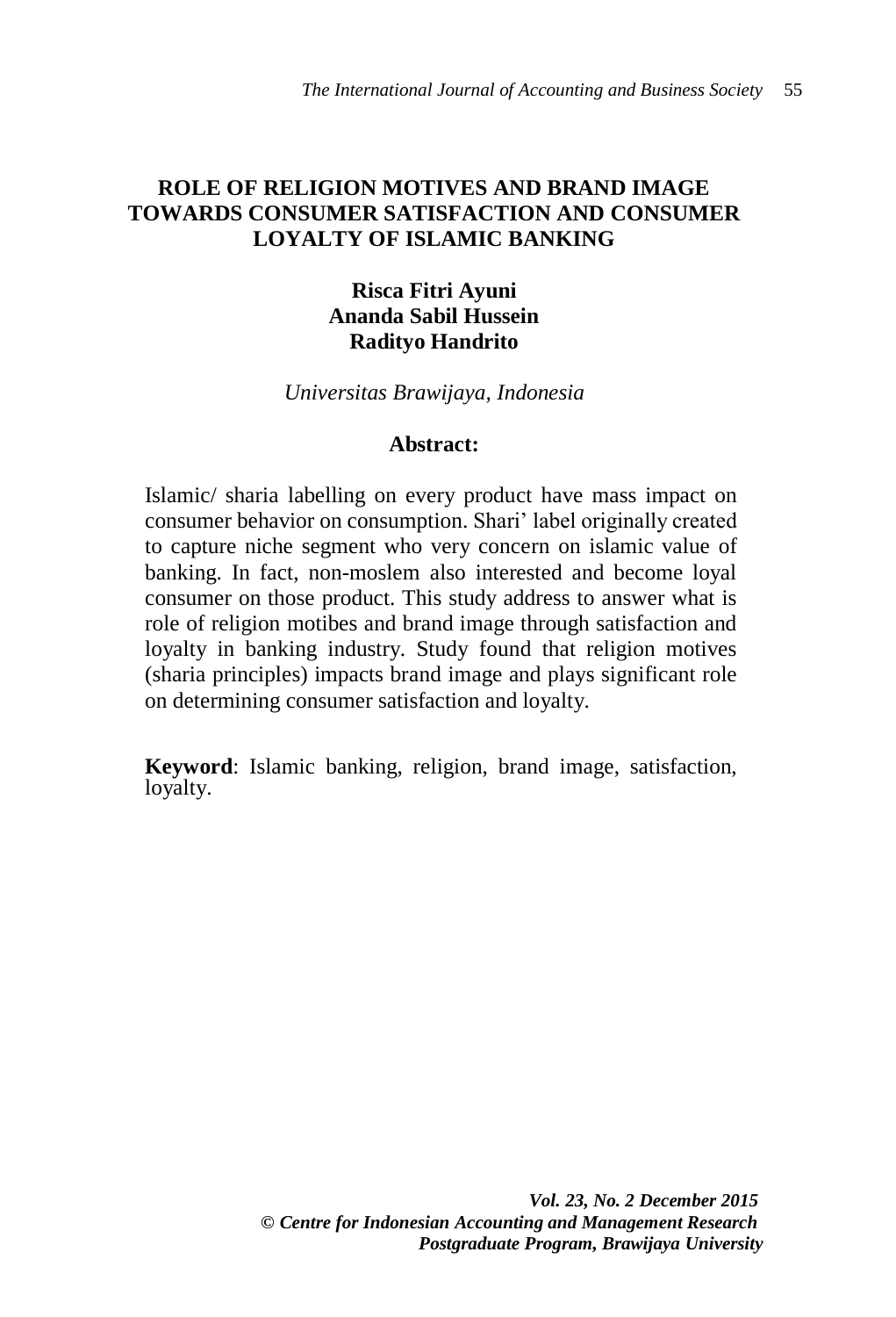## **ROLE OF RELIGION MOTIVES AND BRAND IMAGE TOWARDS CONSUMER SATISFACTION AND CONSUMER LOYALTY OF ISLAMIC BANKING**

## **Risca Fitri Ayuni Ananda Sabil Hussein Radityo Handrito**

*Universitas Brawijaya, Indonesia*

#### **Abstract:**

Islamic/ sharia labelling on every product have mass impact on consumer behavior on consumption. Shari' label originally created to capture niche segment who very concern on islamic value of banking. In fact, non-moslem also interested and become loyal consumer on those product. This study address to answer what is role of religion motibes and brand image through satisfaction and loyalty in banking industry. Study found that religion motives (sharia principles) impacts brand image and plays significant role on determining consumer satisfaction and loyalty.

**Keyword**: Islamic banking, religion, brand image, satisfaction, loyalty.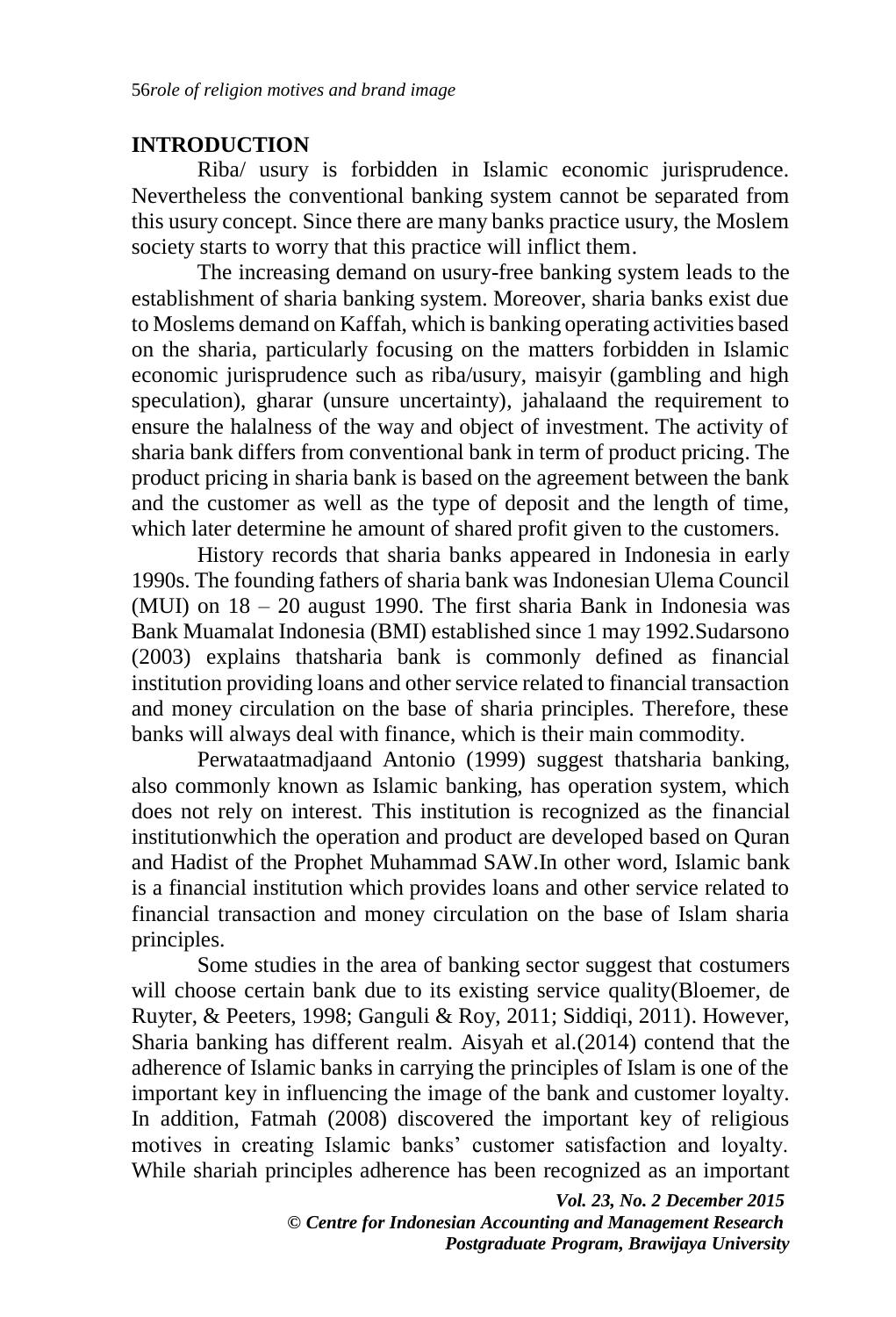## **INTRODUCTION**

Riba/ usury is forbidden in Islamic economic jurisprudence. Nevertheless the conventional banking system cannot be separated from this usury concept. Since there are many banks practice usury, the Moslem society starts to worry that this practice will inflict them.

The increasing demand on usury-free banking system leads to the establishment of sharia banking system. Moreover, sharia banks exist due to Moslems demand on Kaffah, which is banking operating activities based on the sharia, particularly focusing on the matters forbidden in Islamic economic jurisprudence such as riba/usury, maisyir (gambling and high speculation), gharar (unsure uncertainty), jahalaand the requirement to ensure the halalness of the way and object of investment. The activity of sharia bank differs from conventional bank in term of product pricing. The product pricing in sharia bank is based on the agreement between the bank and the customer as well as the type of deposit and the length of time, which later determine he amount of shared profit given to the customers.

History records that sharia banks appeared in Indonesia in early 1990s. The founding fathers of sharia bank was Indonesian Ulema Council (MUI) on 18 – 20 august 1990. The first sharia Bank in Indonesia was Bank Muamalat Indonesia (BMI) established since 1 may 1992.Sudarsono (2003) explains thatsharia bank is commonly defined as financial institution providing loans and other service related to financial transaction and money circulation on the base of sharia principles. Therefore, these banks will always deal with finance, which is their main commodity.

Perwataatmadjaand Antonio (1999) suggest thatsharia banking, also commonly known as Islamic banking, has operation system, which does not rely on interest. This institution is recognized as the financial institutionwhich the operation and product are developed based on Quran and Hadist of the Prophet Muhammad SAW.In other word, Islamic bank is a financial institution which provides loans and other service related to financial transaction and money circulation on the base of Islam sharia principles.

Some studies in the area of banking sector suggest that costumers will choose certain bank due to its existing service quality(Bloemer, de Ruyter, & Peeters, 1998; Ganguli & Roy, 2011; Siddiqi, 2011). However, Sharia banking has different realm. Aisyah et al.(2014) contend that the adherence of Islamic banks in carrying the principles of Islam is one of the important key in influencing the image of the bank and customer loyalty. In addition, Fatmah (2008) discovered the important key of religious motives in creating Islamic banks' customer satisfaction and loyalty. While shariah principles adherence has been recognized as an important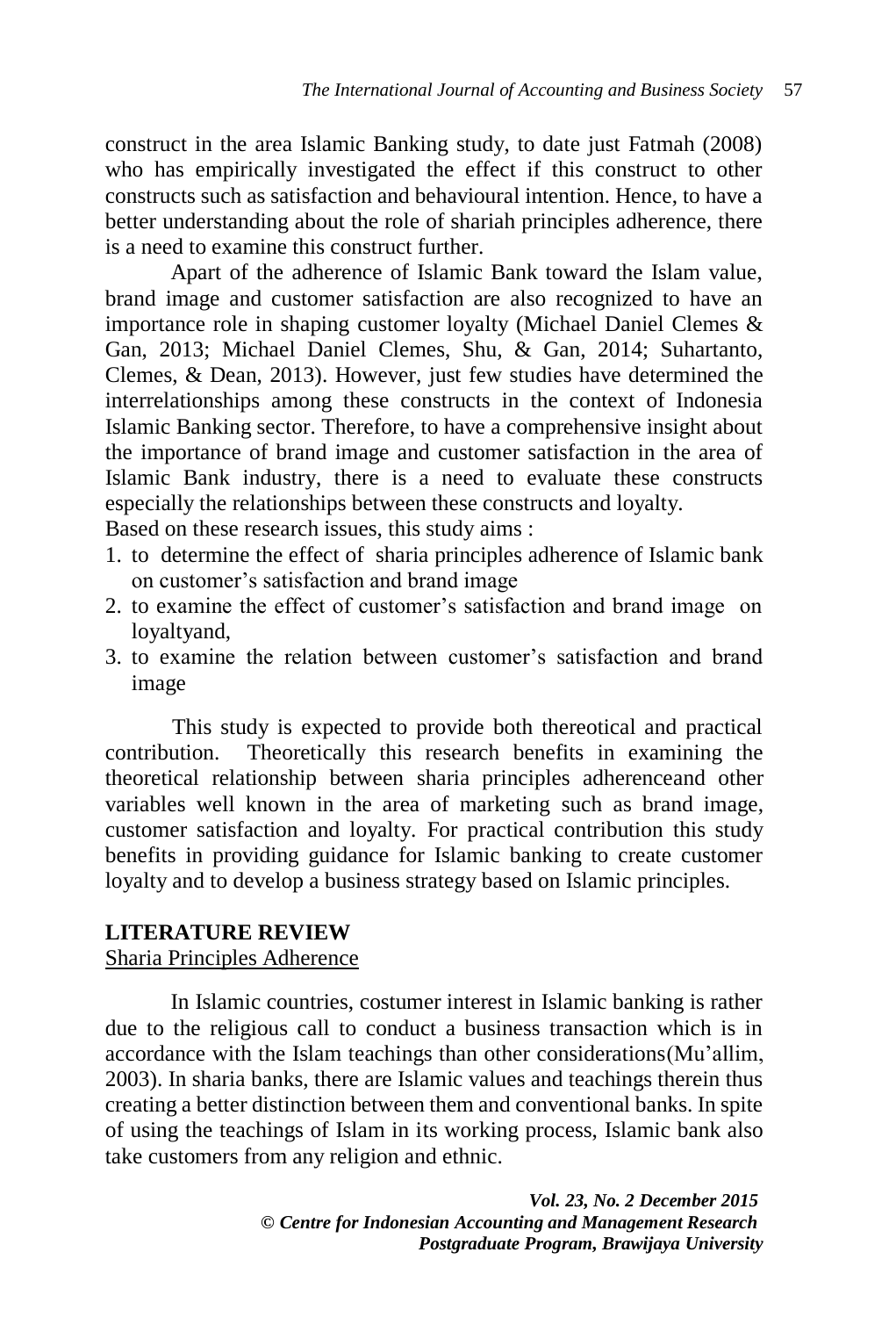construct in the area Islamic Banking study, to date just Fatmah (2008) who has empirically investigated the effect if this construct to other constructs such as satisfaction and behavioural intention. Hence, to have a better understanding about the role of shariah principles adherence, there is a need to examine this construct further.

Apart of the adherence of Islamic Bank toward the Islam value, brand image and customer satisfaction are also recognized to have an importance role in shaping customer loyalty (Michael Daniel Clemes & Gan, 2013; Michael Daniel Clemes, Shu, & Gan, 2014; Suhartanto, Clemes, & Dean, 2013). However, just few studies have determined the interrelationships among these constructs in the context of Indonesia Islamic Banking sector. Therefore, to have a comprehensive insight about the importance of brand image and customer satisfaction in the area of Islamic Bank industry, there is a need to evaluate these constructs especially the relationships between these constructs and loyalty.

Based on these research issues, this study aims :

- 1. to determine the effect of sharia principles adherence of Islamic bank on customer's satisfaction and brand image
- 2. to examine the effect of customer's satisfaction and brand image on loyaltyand,
- 3. to examine the relation between customer's satisfaction and brand image

This study is expected to provide both thereotical and practical contribution. Theoretically this research benefits in examining the theoretical relationship between sharia principles adherenceand other variables well known in the area of marketing such as brand image, customer satisfaction and loyalty. For practical contribution this study benefits in providing guidance for Islamic banking to create customer loyalty and to develop a business strategy based on Islamic principles.

### **LITERATURE REVIEW**

#### Sharia Principles Adherence

In Islamic countries, costumer interest in Islamic banking is rather due to the religious call to conduct a business transaction which is in accordance with the Islam teachings than other considerations(Mu'allim, 2003). In sharia banks, there are Islamic values and teachings therein thus creating a better distinction between them and conventional banks. In spite of using the teachings of Islam in its working process, Islamic bank also take customers from any religion and ethnic.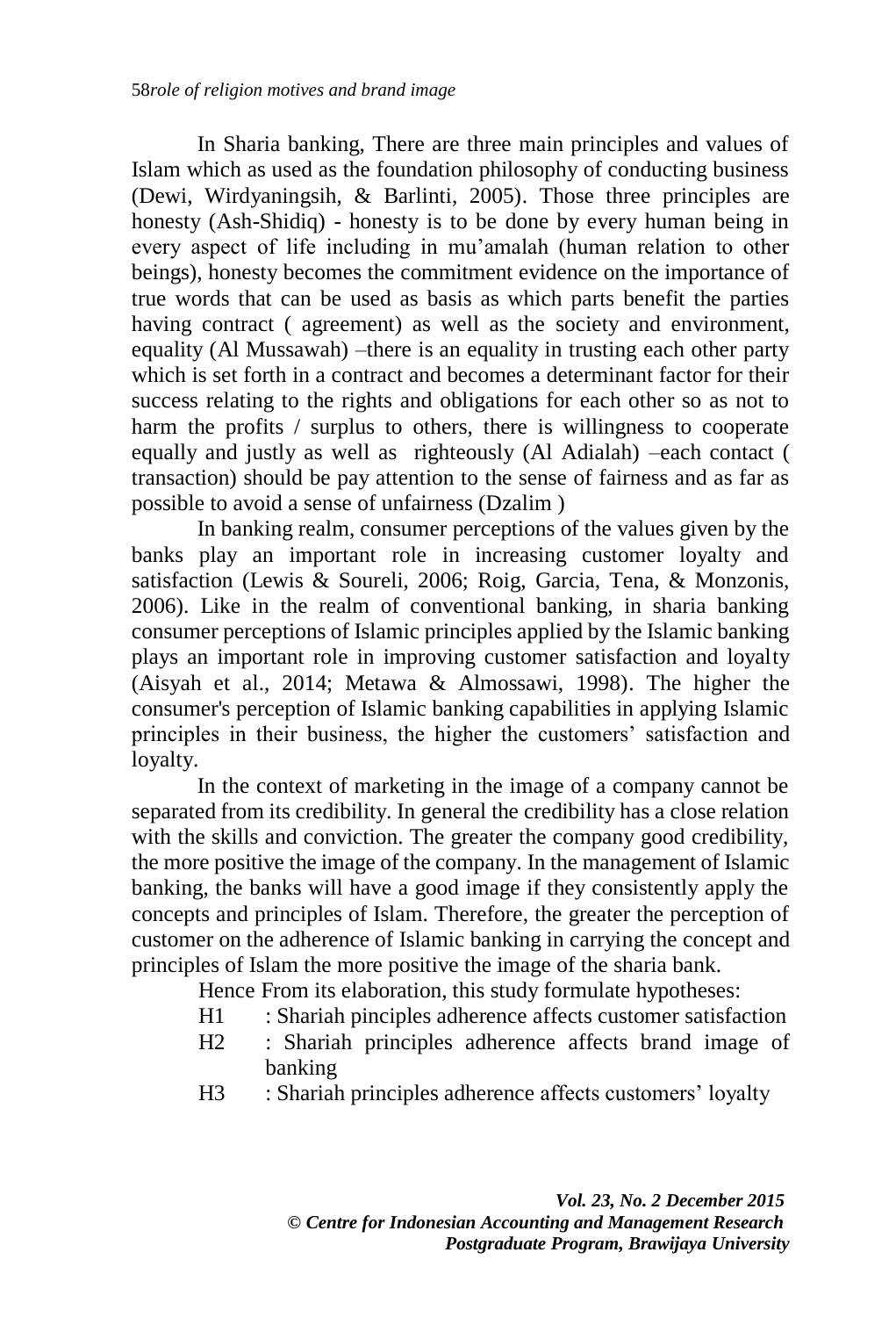In Sharia banking, There are three main principles and values of Islam which as used as the foundation philosophy of conducting business (Dewi, Wirdyaningsih, & Barlinti, 2005). Those three principles are honesty (Ash-Shidiq) - honesty is to be done by every human being in every aspect of life including in mu'amalah (human relation to other beings), honesty becomes the commitment evidence on the importance of true words that can be used as basis as which parts benefit the parties having contract ( agreement) as well as the society and environment, equality (Al Mussawah) –there is an equality in trusting each other party which is set forth in a contract and becomes a determinant factor for their success relating to the rights and obligations for each other so as not to harm the profits / surplus to others, there is willingness to cooperate equally and justly as well as righteously (Al Adialah) –each contact ( transaction) should be pay attention to the sense of fairness and as far as possible to avoid a sense of unfairness (Dzalim )

In banking realm, consumer perceptions of the values given by the banks play an important role in increasing customer loyalty and satisfaction (Lewis & Soureli, 2006; Roig, Garcia, Tena, & Monzonis, 2006). Like in the realm of conventional banking, in sharia banking consumer perceptions of Islamic principles applied by the Islamic banking plays an important role in improving customer satisfaction and loyalty (Aisyah et al., 2014; Metawa & Almossawi, 1998). The higher the consumer's perception of Islamic banking capabilities in applying Islamic principles in their business, the higher the customers' satisfaction and loyalty.

In the context of marketing in the image of a company cannot be separated from its credibility. In general the credibility has a close relation with the skills and conviction. The greater the company good credibility, the more positive the image of the company. In the management of Islamic banking, the banks will have a good image if they consistently apply the concepts and principles of Islam. Therefore, the greater the perception of customer on the adherence of Islamic banking in carrying the concept and principles of Islam the more positive the image of the sharia bank.

Hence From its elaboration, this study formulate hypotheses:

- H1 : Shariah pinciples adherence affects customer satisfaction
- H2 : Shariah principles adherence affects brand image of banking
- H3 : Shariah principles adherence affects customers' loyalty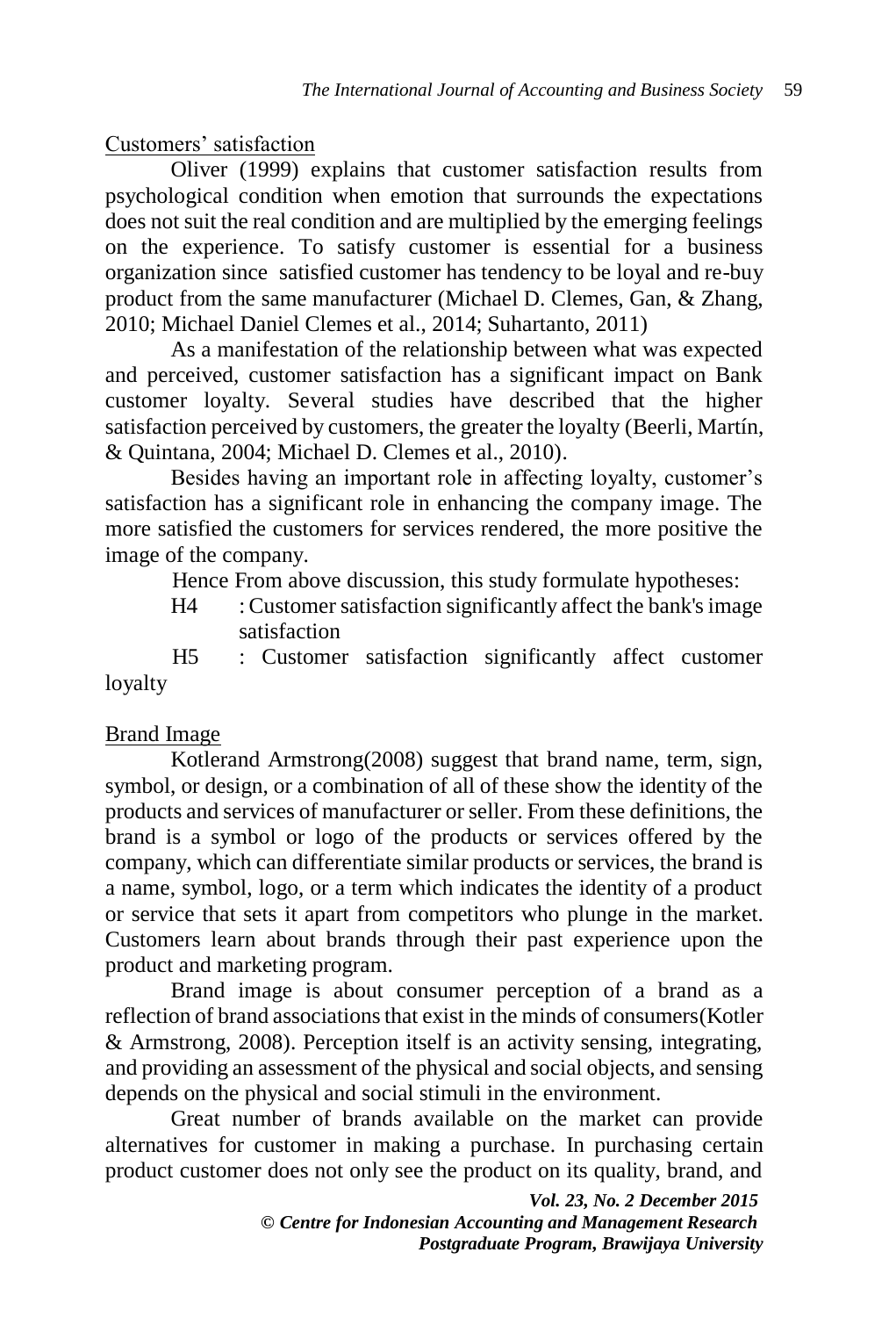Customers' satisfaction

Oliver (1999) explains that customer satisfaction results from psychological condition when emotion that surrounds the expectations does not suit the real condition and are multiplied by the emerging feelings on the experience. To satisfy customer is essential for a business organization since satisfied customer has tendency to be loyal and re-buy product from the same manufacturer (Michael D. Clemes, Gan, & Zhang, 2010; Michael Daniel Clemes et al., 2014; Suhartanto, 2011)

As a manifestation of the relationship between what was expected and perceived, customer satisfaction has a significant impact on Bank customer loyalty. Several studies have described that the higher satisfaction perceived by customers, the greater the loyalty (Beerli, Martín, & Quintana, 2004; Michael D. Clemes et al., 2010).

Besides having an important role in affecting loyalty, customer's satisfaction has a significant role in enhancing the company image. The more satisfied the customers for services rendered, the more positive the image of the company.

Hence From above discussion, this study formulate hypotheses:

H4 : Customer satisfaction significantly affect the bank's image satisfaction

H5 : Customer satisfaction significantly affect customer loyalty

# Brand Image

Kotlerand Armstrong(2008) suggest that brand name, term, sign, symbol, or design, or a combination of all of these show the identity of the products and services of manufacturer or seller. From these definitions, the brand is a symbol or logo of the products or services offered by the company, which can differentiate similar products or services, the brand is a name, symbol, logo, or a term which indicates the identity of a product or service that sets it apart from competitors who plunge in the market. Customers learn about brands through their past experience upon the product and marketing program.

Brand image is about consumer perception of a brand as a reflection of brand associations that exist in the minds of consumers(Kotler & Armstrong, 2008). Perception itself is an activity sensing, integrating, and providing an assessment of the physical and social objects, and sensing depends on the physical and social stimuli in the environment.

Great number of brands available on the market can provide alternatives for customer in making a purchase. In purchasing certain product customer does not only see the product on its quality, brand, and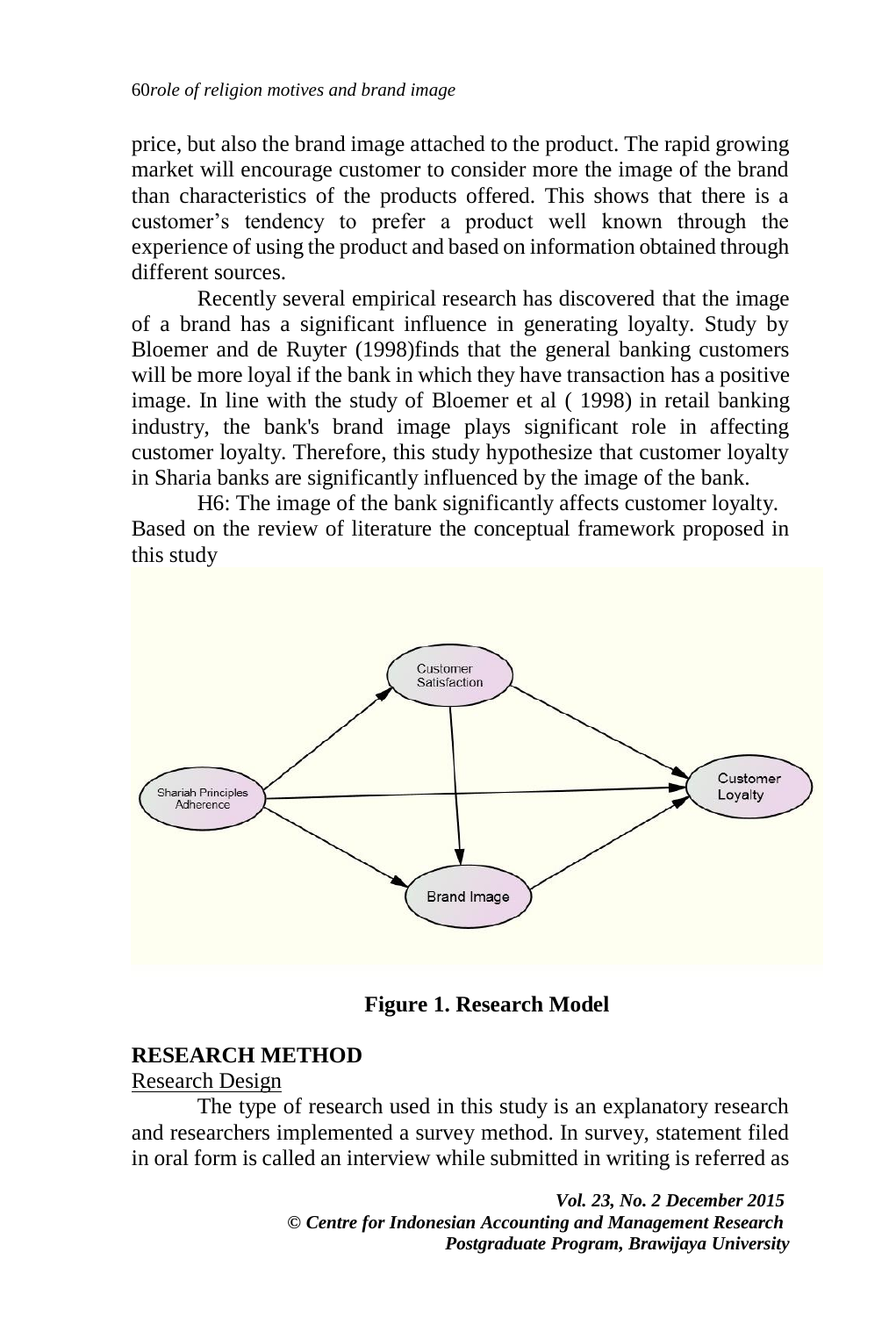price, but also the brand image attached to the product. The rapid growing market will encourage customer to consider more the image of the brand than characteristics of the products offered. This shows that there is a customer's tendency to prefer a product well known through the experience of using the product and based on information obtained through different sources.

Recently several empirical research has discovered that the image of a brand has a significant influence in generating loyalty. Study by Bloemer and de Ruyter (1998)finds that the general banking customers will be more loyal if the bank in which they have transaction has a positive image. In line with the study of Bloemer et al ( 1998) in retail banking industry, the bank's brand image plays significant role in affecting customer loyalty. Therefore, this study hypothesize that customer loyalty in Sharia banks are significantly influenced by the image of the bank.

H6: The image of the bank significantly affects customer loyalty. Based on the review of literature the conceptual framework proposed in this study



**Figure 1. Research Model**

# **RESEARCH METHOD**

### Research Design

The type of research used in this study is an explanatory research and researchers implemented a survey method. In survey, statement filed in oral form is called an interview while submitted in writing is referred as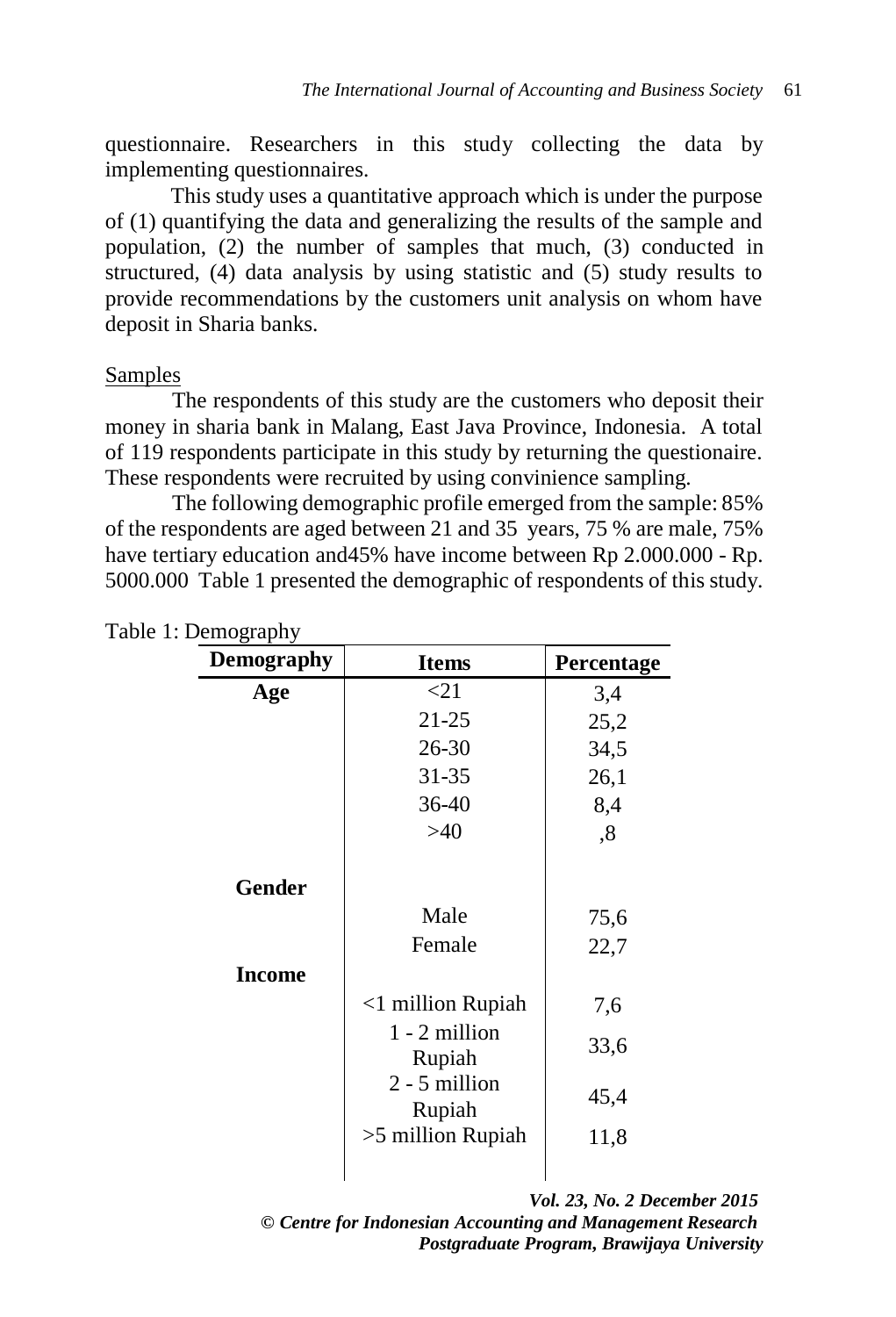questionnaire. Researchers in this study collecting the data by implementing questionnaires.

This study uses a quantitative approach which is under the purpose of (1) quantifying the data and generalizing the results of the sample and population, (2) the number of samples that much, (3) conducted in structured, (4) data analysis by using statistic and (5) study results to provide recommendations by the customers unit analysis on whom have deposit in Sharia banks.

#### Samples

The respondents of this study are the customers who deposit their money in sharia bank in Malang, East Java Province, Indonesia. A total of 119 respondents participate in this study by returning the questionaire. These respondents were recruited by using convinience sampling.

The following demographic profile emerged from the sample: 85% of the respondents are aged between 21 and 35 years, 75 % are male, 75% have tertiary education and45% have income between Rp 2.000.000 - Rp. 5000.000 Table 1 presented the demographic of respondents of this study.

| <b>Demography</b> | <b>Items</b>              | Percentage |  |
|-------------------|---------------------------|------------|--|
| Age               | $\leq$ 21                 | 3,4        |  |
|                   | $21 - 25$                 | 25,2       |  |
|                   | $26 - 30$                 | 34,5       |  |
|                   | $31 - 35$                 | 26,1       |  |
|                   | 36-40                     | 8,4        |  |
|                   | $>40$                     | ,8         |  |
| <b>Gender</b>     | Male                      | 75,6       |  |
|                   | Female                    | 22,7       |  |
| <b>Income</b>     |                           |            |  |
|                   | $<$ 1 million Rupiah      | 7,6        |  |
|                   | $1 - 2$ million<br>Rupiah | 33,6       |  |
|                   | $2 - 5$ million<br>Rupiah | 45,4       |  |
|                   | $>5$ million Rupiah       | 11,8       |  |
|                   |                           |            |  |

Table 1: Demography

*Vol. 23, No. 2 December 2015*

*© Centre for Indonesian Accounting and Management Research Postgraduate Program, Brawijaya University*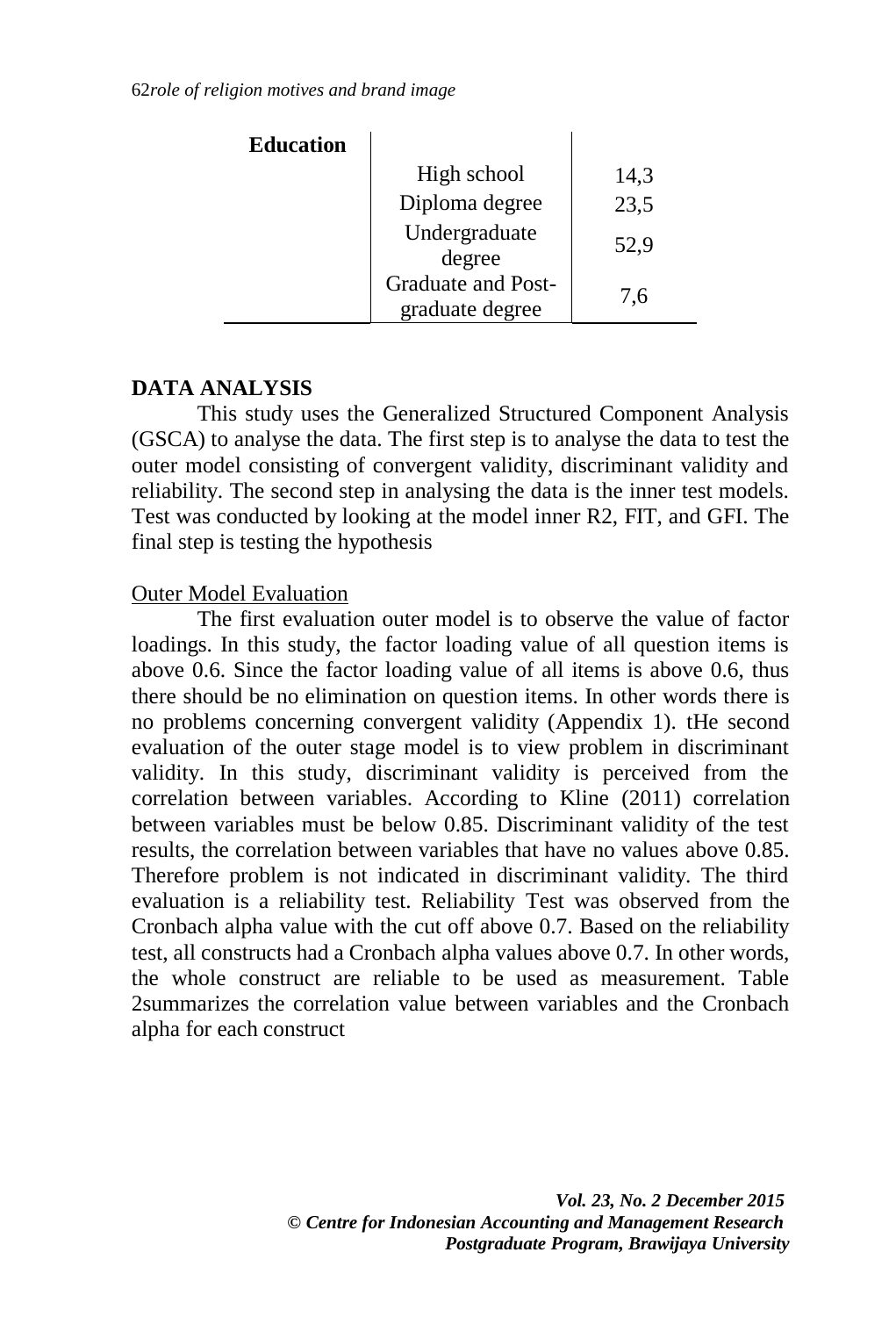| <b>Education</b> |                                                        |      |
|------------------|--------------------------------------------------------|------|
|                  | High school                                            | 14,3 |
|                  | Diploma degree                                         | 23,5 |
|                  | Undergraduate                                          | 52,9 |
|                  | degree<br><b>Graduate and Post-</b><br>graduate degree | 7,6  |

### **DATA ANALYSIS**

This study uses the Generalized Structured Component Analysis (GSCA) to analyse the data. The first step is to analyse the data to test the outer model consisting of convergent validity, discriminant validity and reliability. The second step in analysing the data is the inner test models. Test was conducted by looking at the model inner R2, FIT, and GFI. The final step is testing the hypothesis

### Outer Model Evaluation

The first evaluation outer model is to observe the value of factor loadings. In this study, the factor loading value of all question items is above 0.6. Since the factor loading value of all items is above 0.6, thus there should be no elimination on question items. In other words there is no problems concerning convergent validity (Appendix 1). tHe second evaluation of the outer stage model is to view problem in discriminant validity. In this study, discriminant validity is perceived from the correlation between variables. According to Kline (2011) correlation between variables must be below 0.85. Discriminant validity of the test results, the correlation between variables that have no values above 0.85. Therefore problem is not indicated in discriminant validity. The third evaluation is a reliability test. Reliability Test was observed from the Cronbach alpha value with the cut off above 0.7. Based on the reliability test, all constructs had a Cronbach alpha values above 0.7. In other words, the whole construct are reliable to be used as measurement. Table 2summarizes the correlation value between variables and the Cronbach alpha for each construct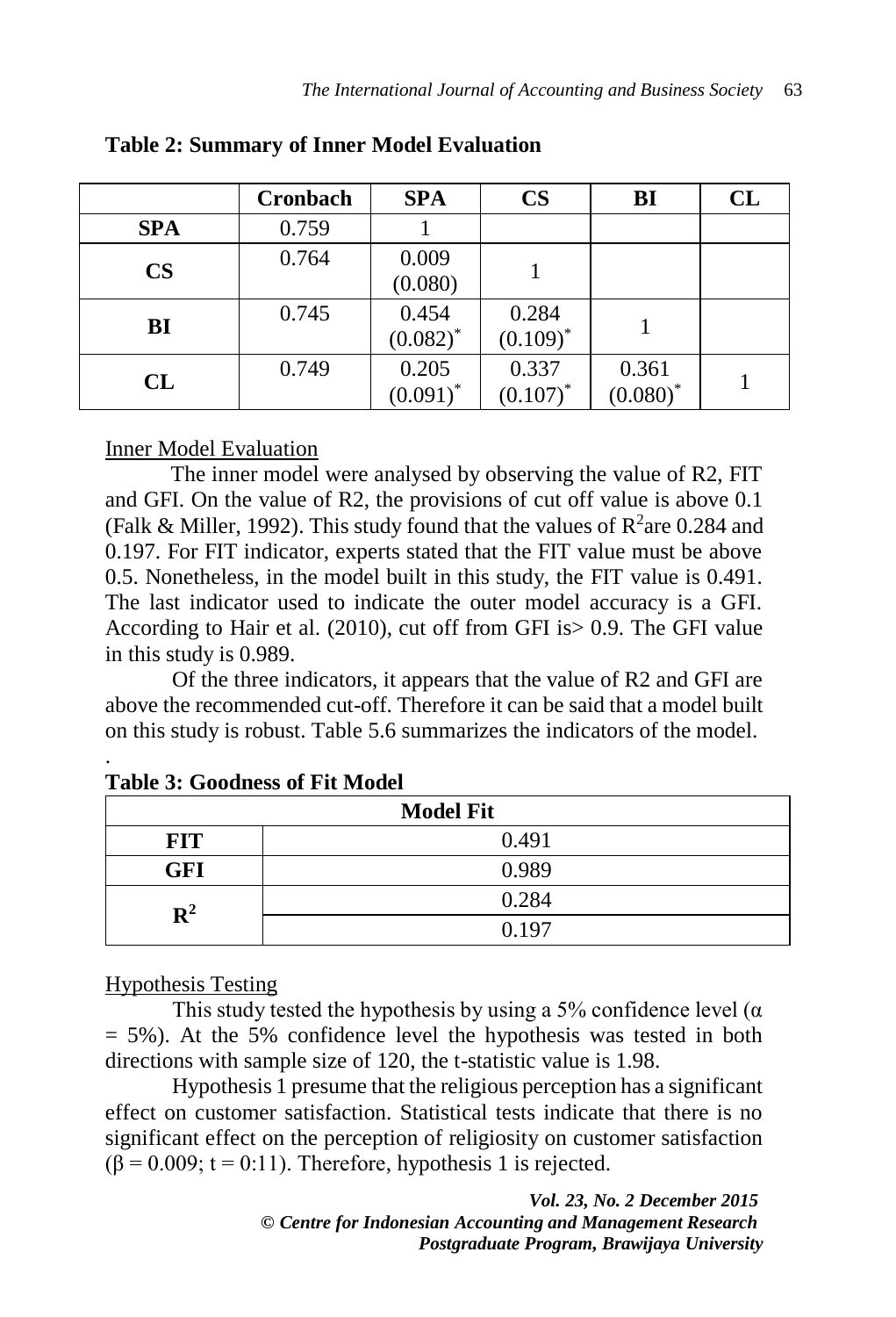|               | Cronbach | <b>SPA</b>           | $\mathbf{CS}$        | BI                   | CL |
|---------------|----------|----------------------|----------------------|----------------------|----|
| <b>SPA</b>    | 0.759    |                      |                      |                      |    |
| $\mathbf{CS}$ | 0.764    | 0.009<br>(0.080)     |                      |                      |    |
| BI            | 0.745    | 0.454<br>$(0.082)^*$ | 0.284<br>$(0.109)^*$ |                      |    |
| CL            | 0.749    | 0.205<br>$(0.091)^*$ | 0.337<br>$(0.107)^*$ | 0.361<br>$(0.080)^*$ |    |

#### **Table 2: Summary of Inner Model Evaluation**

### Inner Model Evaluation

The inner model were analysed by observing the value of R2, FIT and GFI. On the value of R2, the provisions of cut off value is above 0.1 (Falk & Miller, 1992). This study found that the values of  $\mathbb{R}^2$  are 0.284 and 0.197. For FIT indicator, experts stated that the FIT value must be above 0.5. Nonetheless, in the model built in this study, the FIT value is 0.491. The last indicator used to indicate the outer model accuracy is a GFI. According to Hair et al. (2010), cut off from GFI is> 0.9. The GFI value in this study is 0.989.

Of the three indicators, it appears that the value of R2 and GFI are above the recommended cut-off. Therefore it can be said that a model built on this study is robust. Table 5.6 summarizes the indicators of the model.

| <b>Model Fit</b> |       |  |  |
|------------------|-------|--|--|
| <b>FIT</b>       | 0.491 |  |  |
| <b>GFI</b>       | 0.989 |  |  |
| $\mathbf{R}^2$   | 0.284 |  |  |
|                  | 0.197 |  |  |

#### . **Table 3: Goodness of Fit Model**

### Hypothesis Testing

This study tested the hypothesis by using a 5% confidence level ( $\alpha$ )  $= 5\%$ ). At the 5% confidence level the hypothesis was tested in both directions with sample size of 120, the t-statistic value is 1.98.

Hypothesis 1 presume that the religious perception has a significant effect on customer satisfaction. Statistical tests indicate that there is no significant effect on the perception of religiosity on customer satisfaction  $(\beta = 0.009; t = 0.11)$ . Therefore, hypothesis 1 is rejected.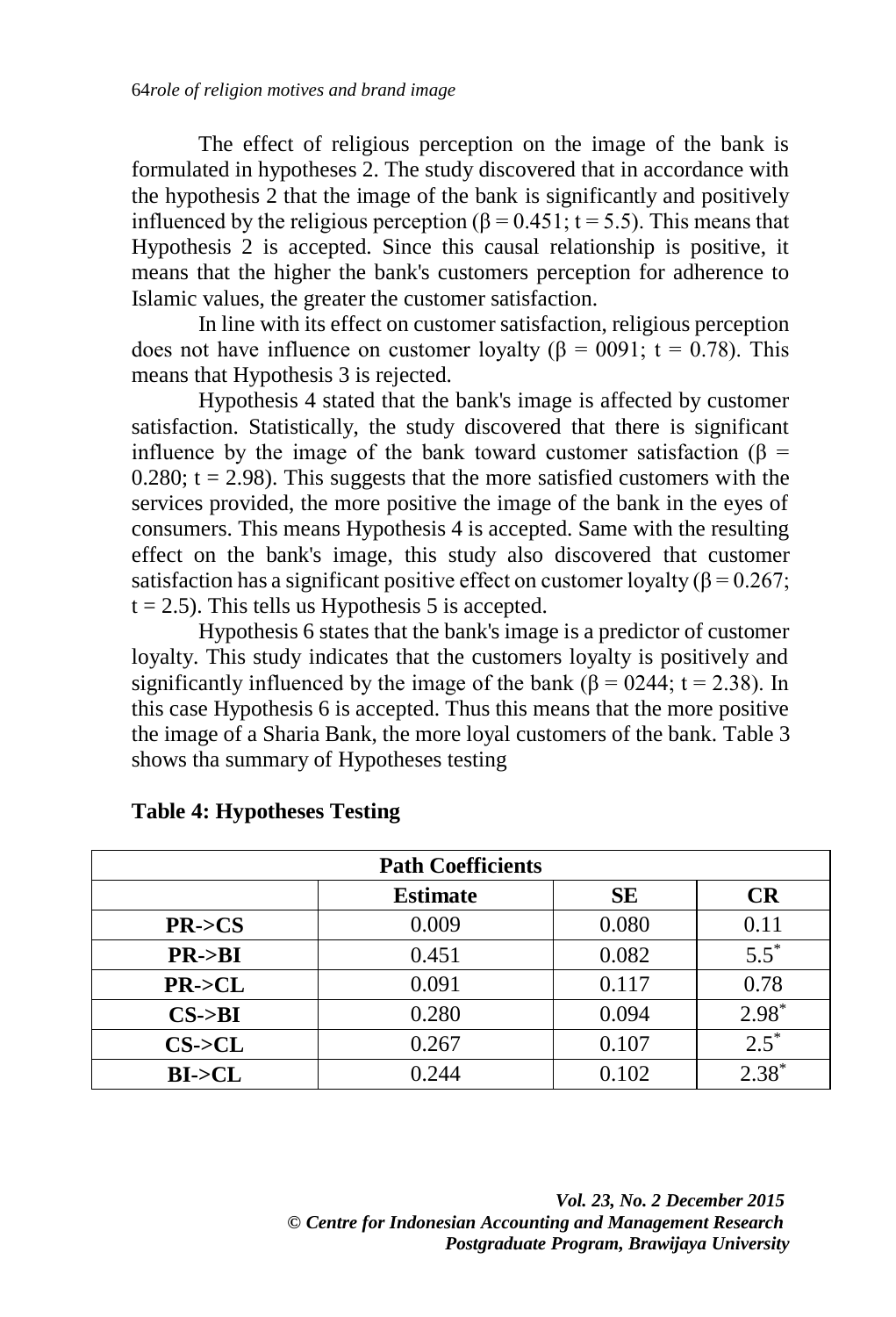The effect of religious perception on the image of the bank is formulated in hypotheses 2. The study discovered that in accordance with the hypothesis 2 that the image of the bank is significantly and positively influenced by the religious perception ( $\beta$  = 0.451; t = 5.5). This means that Hypothesis 2 is accepted. Since this causal relationship is positive, it means that the higher the bank's customers perception for adherence to Islamic values, the greater the customer satisfaction.

In line with its effect on customer satisfaction, religious perception does not have influence on customer loyalty ( $\beta = 0091$ ; t = 0.78). This means that Hypothesis 3 is rejected.

Hypothesis 4 stated that the bank's image is affected by customer satisfaction. Statistically, the study discovered that there is significant influence by the image of the bank toward customer satisfaction ( $\beta$  = 0.280;  $t = 2.98$ ). This suggests that the more satisfied customers with the services provided, the more positive the image of the bank in the eyes of consumers. This means Hypothesis 4 is accepted. Same with the resulting effect on the bank's image, this study also discovered that customer satisfaction has a significant positive effect on customer loyalty ( $\beta$  = 0.267;  $t = 2.5$ ). This tells us Hypothesis 5 is accepted.

Hypothesis 6 states that the bank's image is a predictor of customer loyalty. This study indicates that the customers loyalty is positively and significantly influenced by the image of the bank ( $\beta$  = 0244; t = 2.38). In this case Hypothesis 6 is accepted. Thus this means that the more positive the image of a Sharia Bank, the more loyal customers of the bank. Table 3 shows tha summary of Hypotheses testing

| <b>Path Coefficients</b> |                 |           |           |  |
|--------------------------|-----------------|-----------|-----------|--|
|                          | <b>Estimate</b> | <b>SE</b> | <b>CR</b> |  |
| PR < S                   | 0.009           | 0.080     | 0.11      |  |
| $PR \rightarrow BI$      | 0.451           | 0.082     | $5.5^*$   |  |
| $PR$ -> $CL$             | 0.091           | 0.117     | 0.78      |  |
| $CS$ ->BI                | 0.280           | 0.094     | $2.98*$   |  |
| $CS$ -> $CL$             | 0.267           | 0.107     | $2.5^*$   |  |
| BI > CL                  | 0.244           | 0.102     | $2.38*$   |  |

#### **Table 4: Hypotheses Testing**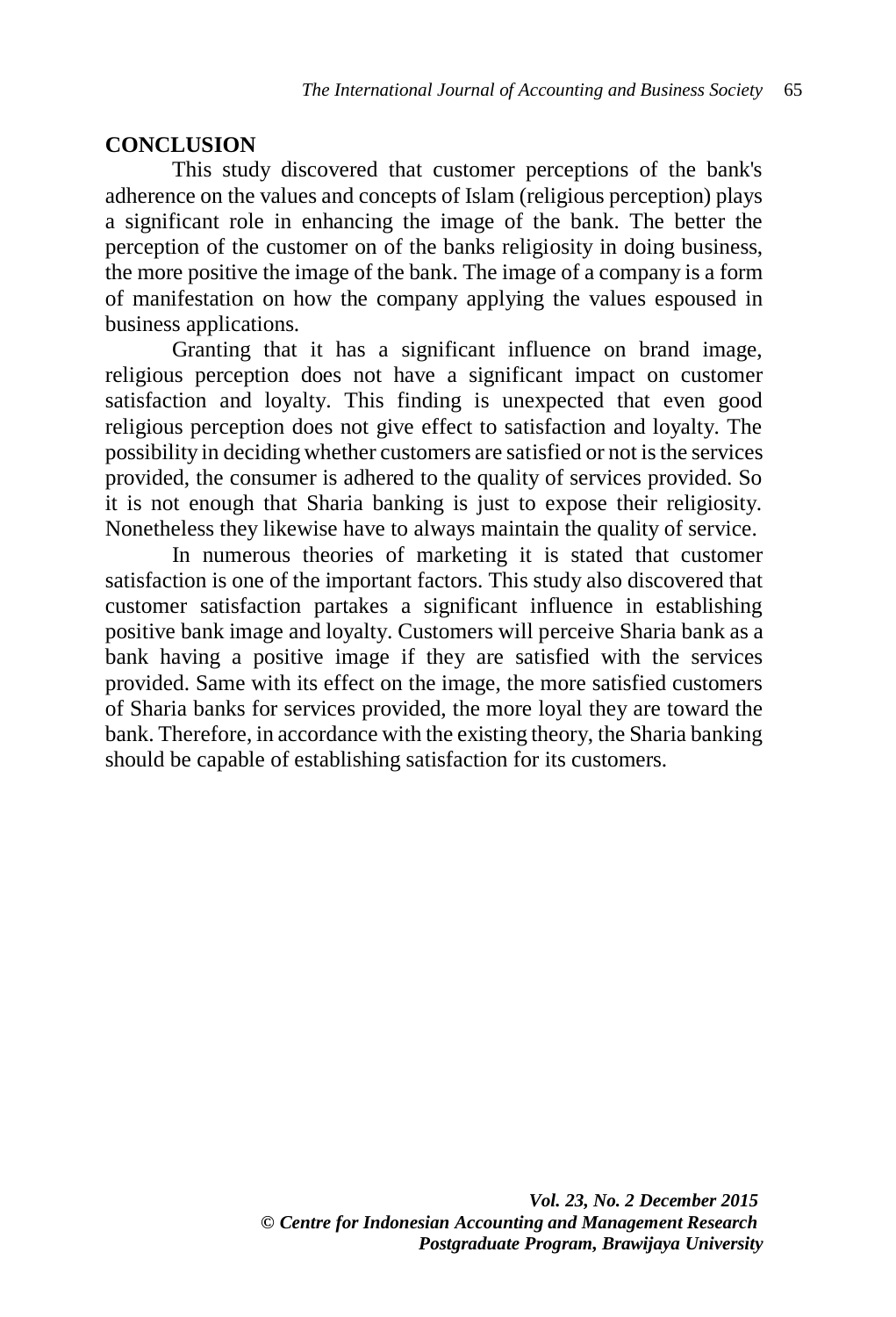#### **CONCLUSION**

This study discovered that customer perceptions of the bank's adherence on the values and concepts of Islam (religious perception) plays a significant role in enhancing the image of the bank. The better the perception of the customer on of the banks religiosity in doing business, the more positive the image of the bank. The image of a company is a form of manifestation on how the company applying the values espoused in business applications.

Granting that it has a significant influence on brand image, religious perception does not have a significant impact on customer satisfaction and loyalty. This finding is unexpected that even good religious perception does not give effect to satisfaction and loyalty. The possibility in deciding whether customers are satisfied or not is the services provided, the consumer is adhered to the quality of services provided. So it is not enough that Sharia banking is just to expose their religiosity. Nonetheless they likewise have to always maintain the quality of service.

In numerous theories of marketing it is stated that customer satisfaction is one of the important factors. This study also discovered that customer satisfaction partakes a significant influence in establishing positive bank image and loyalty. Customers will perceive Sharia bank as a bank having a positive image if they are satisfied with the services provided. Same with its effect on the image, the more satisfied customers of Sharia banks for services provided, the more loyal they are toward the bank. Therefore, in accordance with the existing theory, the Sharia banking should be capable of establishing satisfaction for its customers.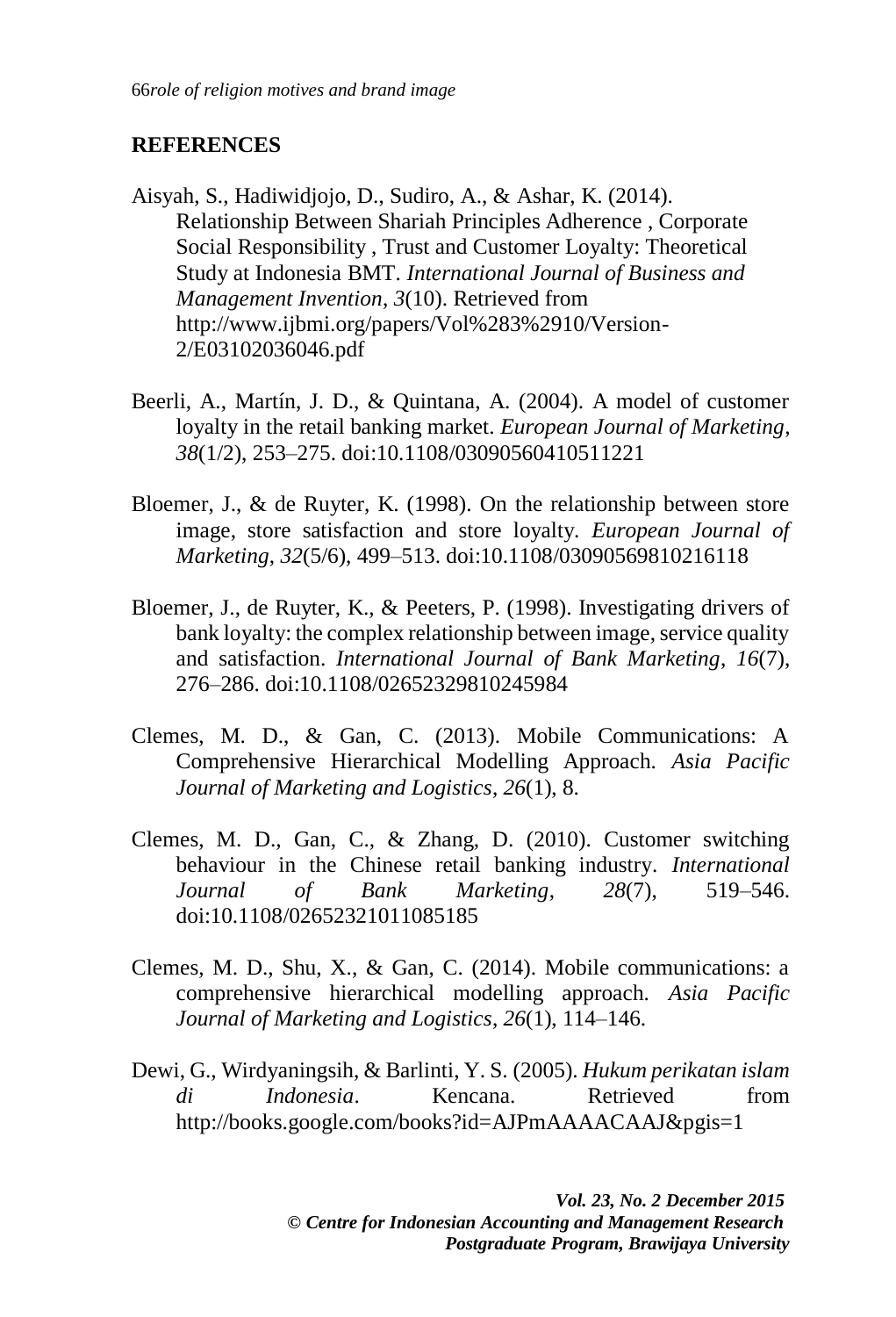### **REFERENCES**

- Aisyah, S., Hadiwidjojo, D., Sudiro, A., & Ashar, K. (2014). Relationship Between Shariah Principles Adherence , Corporate Social Responsibility , Trust and Customer Loyalty: Theoretical Study at Indonesia BMT. *International Journal of Business and Management Invention*, *3*(10). Retrieved from http://www.ijbmi.org/papers/Vol%283%2910/Version-2/E03102036046.pdf
- Beerli, A., Martín, J. D., & Quintana, A. (2004). A model of customer loyalty in the retail banking market. *European Journal of Marketing*, *38*(1/2), 253–275. doi:10.1108/03090560410511221
- Bloemer, J., & de Ruyter, K. (1998). On the relationship between store image, store satisfaction and store loyalty. *European Journal of Marketing*, *32*(5/6), 499–513. doi:10.1108/03090569810216118
- Bloemer, J., de Ruyter, K., & Peeters, P. (1998). Investigating drivers of bank loyalty: the complex relationship between image, service quality and satisfaction. *International Journal of Bank Marketing*, *16*(7), 276–286. doi:10.1108/02652329810245984
- Clemes, M. D., & Gan, C. (2013). Mobile Communications: A Comprehensive Hierarchical Modelling Approach. *Asia Pacific Journal of Marketing and Logistics*, *26*(1), 8.
- Clemes, M. D., Gan, C., & Zhang, D. (2010). Customer switching behaviour in the Chinese retail banking industry. *International Journal of Bank Marketing*, *28*(7), 519–546. doi:10.1108/02652321011085185
- Clemes, M. D., Shu, X., & Gan, C. (2014). Mobile communications: a comprehensive hierarchical modelling approach. *Asia Pacific Journal of Marketing and Logistics*, *26*(1), 114–146.
- Dewi, G., Wirdyaningsih, & Barlinti, Y. S. (2005). *Hukum perikatan islam di Indonesia*. Kencana. Retrieved from http://books.google.com/books?id=AJPmAAAACAAJ&pgis=1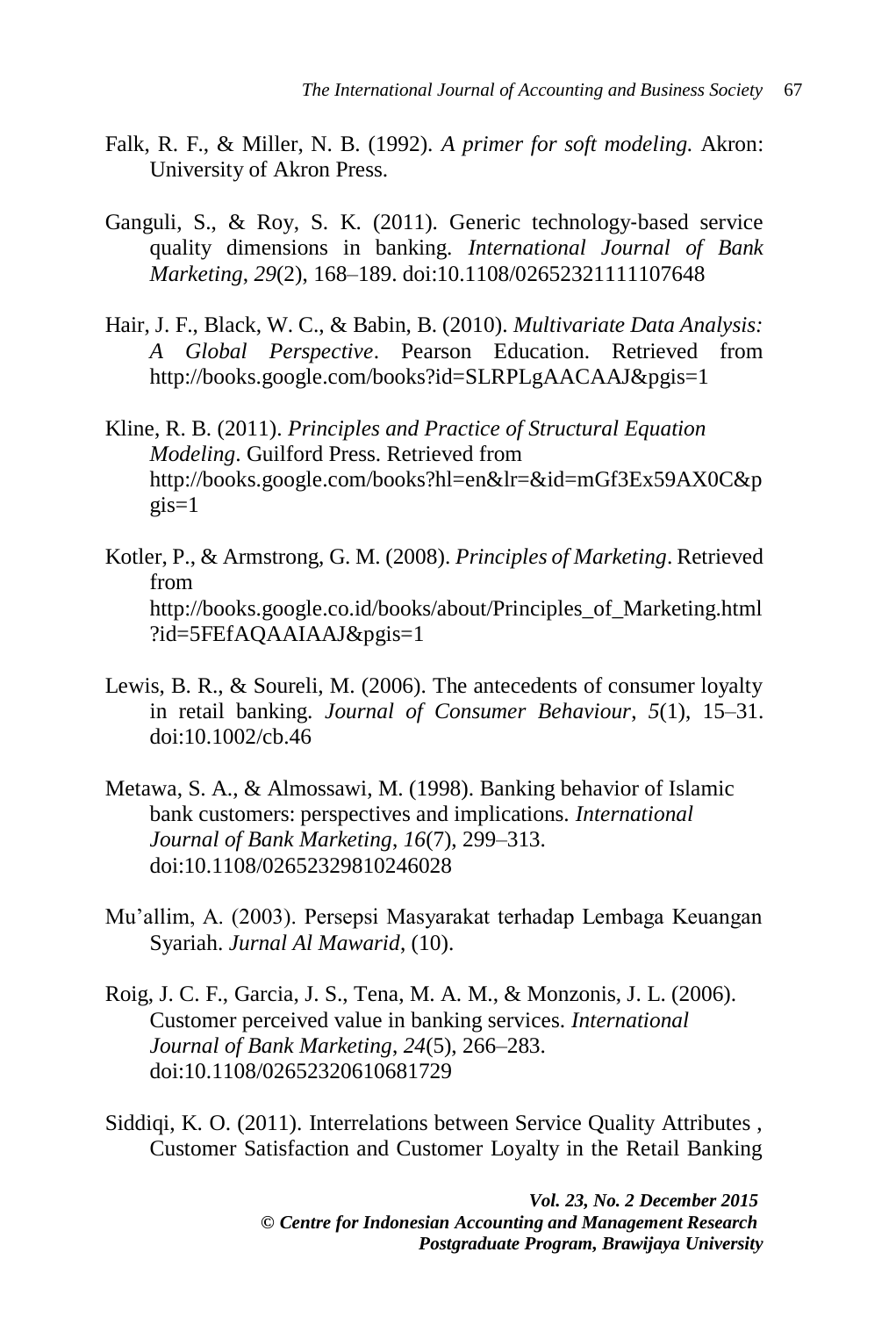- Falk, R. F., & Miller, N. B. (1992). *A primer for soft modeling.* Akron: University of Akron Press.
- Ganguli, S., & Roy, S. K. (2011). Generic technology‐based service quality dimensions in banking. *International Journal of Bank Marketing*, *29*(2), 168–189. doi:10.1108/02652321111107648
- Hair, J. F., Black, W. C., & Babin, B. (2010). *Multivariate Data Analysis: A Global Perspective*. Pearson Education. Retrieved from http://books.google.com/books?id=SLRPLgAACAAJ&pgis=1
- Kline, R. B. (2011). *Principles and Practice of Structural Equation Modeling*. Guilford Press. Retrieved from http://books.google.com/books?hl=en&lr=&id=mGf3Ex59AX0C&p  $q$ is=1
- Kotler, P., & Armstrong, G. M. (2008). *Principles of Marketing*. Retrieved from http://books.google.co.id/books/about/Principles\_of\_Marketing.html ?id=5FEfAQAAIAAJ&pgis=1
- Lewis, B. R., & Soureli, M. (2006). The antecedents of consumer loyalty in retail banking. *Journal of Consumer Behaviour*, *5*(1), 15–31. doi:10.1002/cb.46
- Metawa, S. A., & Almossawi, M. (1998). Banking behavior of Islamic bank customers: perspectives and implications. *International Journal of Bank Marketing*, *16*(7), 299–313. doi:10.1108/02652329810246028
- Mu'allim, A. (2003). Persepsi Masyarakat terhadap Lembaga Keuangan Syariah. *Jurnal Al Mawarid*, (10).
- Roig, J. C. F., Garcia, J. S., Tena, M. A. M., & Monzonis, J. L. (2006). Customer perceived value in banking services. *International Journal of Bank Marketing*, *24*(5), 266–283. doi:10.1108/02652320610681729
- Siddiqi, K. O. (2011). Interrelations between Service Quality Attributes , Customer Satisfaction and Customer Loyalty in the Retail Banking